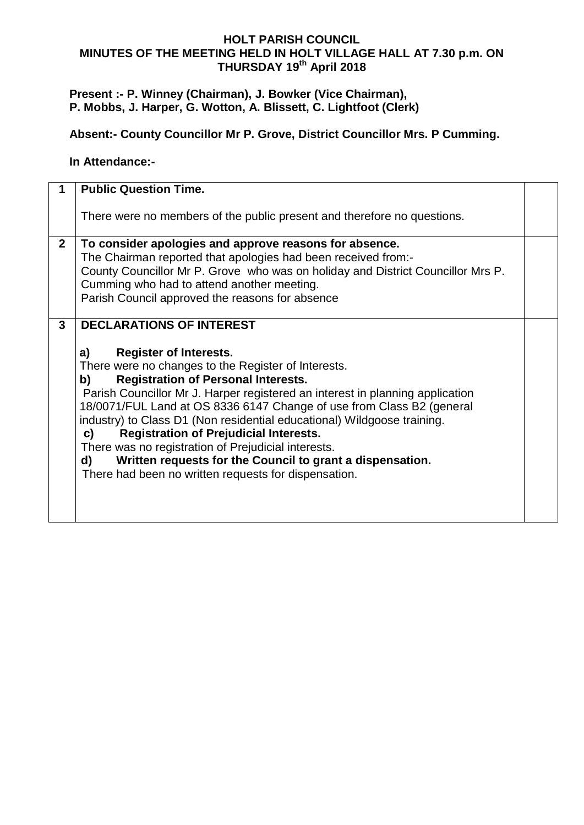### **HOLT PARISH COUNCIL MINUTES OF THE MEETING HELD IN HOLT VILLAGE HALL AT 7.30 p.m. ON THURSDAY 19 th April 2018**

# **Present :- P. Winney (Chairman), J. Bowker (Vice Chairman), P. Mobbs, J. Harper, G. Wotton, A. Blissett, C. Lightfoot (Clerk)**

# **Absent:- County Councillor Mr P. Grove, District Councillor Mrs. P Cumming.**

#### **In Attendance:-**

|                | <b>Public Question Time.</b>                                                                                                                                                                                                                                                                                                                                                                                                                                                                                                                                                                                                                                    |  |
|----------------|-----------------------------------------------------------------------------------------------------------------------------------------------------------------------------------------------------------------------------------------------------------------------------------------------------------------------------------------------------------------------------------------------------------------------------------------------------------------------------------------------------------------------------------------------------------------------------------------------------------------------------------------------------------------|--|
|                | There were no members of the public present and therefore no questions.                                                                                                                                                                                                                                                                                                                                                                                                                                                                                                                                                                                         |  |
| 2 <sup>1</sup> | To consider apologies and approve reasons for absence.<br>The Chairman reported that apologies had been received from:-<br>County Councillor Mr P. Grove who was on holiday and District Councillor Mrs P.<br>Cumming who had to attend another meeting.<br>Parish Council approved the reasons for absence                                                                                                                                                                                                                                                                                                                                                     |  |
| $\mathbf{3}$   | <b>DECLARATIONS OF INTEREST</b><br><b>Register of Interests.</b><br>a)<br>There were no changes to the Register of Interests.<br><b>Registration of Personal Interests.</b><br>b)<br>Parish Councillor Mr J. Harper registered an interest in planning application<br>18/0071/FUL Land at OS 8336 6147 Change of use from Class B2 (general<br>industry) to Class D1 (Non residential educational) Wildgoose training.<br><b>Registration of Prejudicial Interests.</b><br>C)<br>There was no registration of Prejudicial interests.<br>Written requests for the Council to grant a dispensation.<br>d)<br>There had been no written requests for dispensation. |  |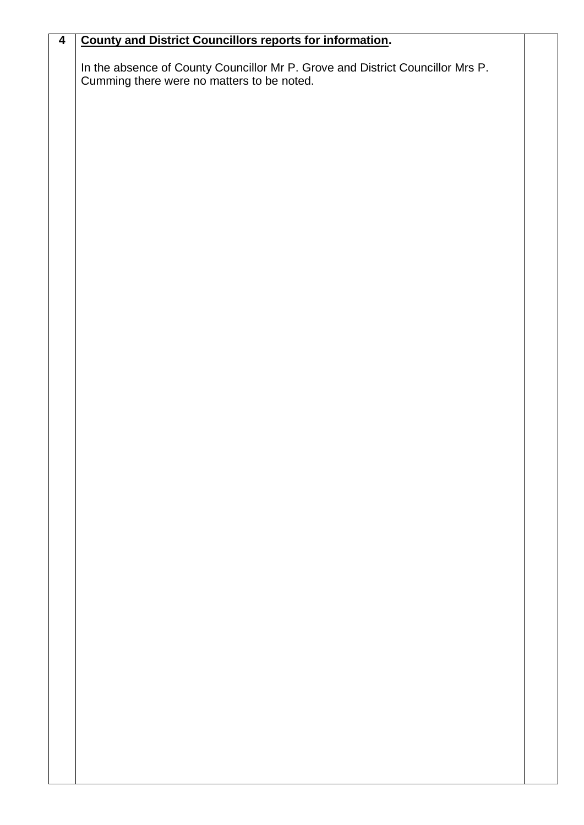| $\overline{\mathbf{4}}$ | <b>County and District Councillors reports for information.</b>                                                              |  |
|-------------------------|------------------------------------------------------------------------------------------------------------------------------|--|
|                         | In the absence of County Councillor Mr P. Grove and District Councillor Mrs P.<br>Cumming there were no matters to be noted. |  |
|                         |                                                                                                                              |  |
|                         |                                                                                                                              |  |
|                         |                                                                                                                              |  |
|                         |                                                                                                                              |  |
|                         |                                                                                                                              |  |
|                         |                                                                                                                              |  |
|                         |                                                                                                                              |  |
|                         |                                                                                                                              |  |
|                         |                                                                                                                              |  |
|                         |                                                                                                                              |  |
|                         |                                                                                                                              |  |
|                         |                                                                                                                              |  |
|                         |                                                                                                                              |  |
|                         |                                                                                                                              |  |
|                         |                                                                                                                              |  |
|                         |                                                                                                                              |  |
|                         |                                                                                                                              |  |
|                         |                                                                                                                              |  |
|                         |                                                                                                                              |  |
|                         |                                                                                                                              |  |
|                         |                                                                                                                              |  |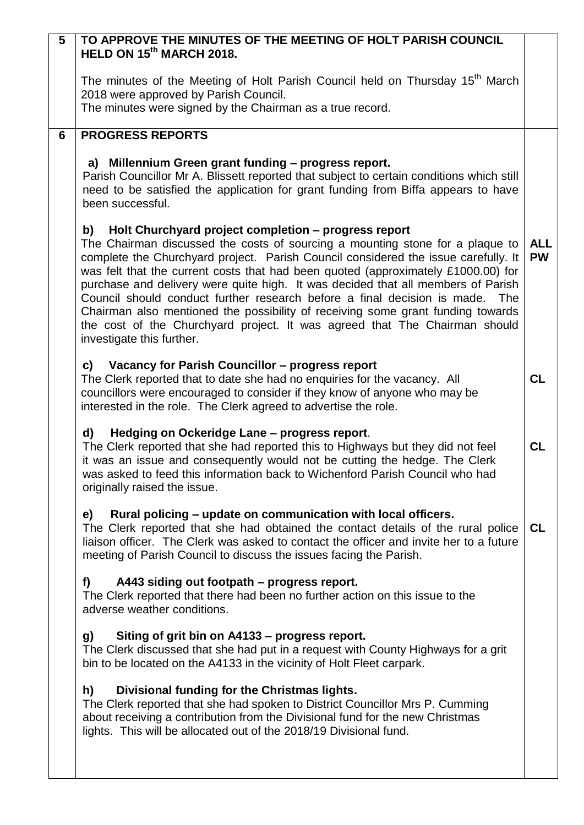| 5 | TO APPROVE THE MINUTES OF THE MEETING OF HOLT PARISH COUNCIL<br>HELD ON 15 <sup>th</sup> MARCH 2018.                                                                                                                                                                                                                                                                                                                                                                                                                                                                                                                                                                                  |                         |
|---|---------------------------------------------------------------------------------------------------------------------------------------------------------------------------------------------------------------------------------------------------------------------------------------------------------------------------------------------------------------------------------------------------------------------------------------------------------------------------------------------------------------------------------------------------------------------------------------------------------------------------------------------------------------------------------------|-------------------------|
|   | The minutes of the Meeting of Holt Parish Council held on Thursday 15 <sup>th</sup> March<br>2018 were approved by Parish Council.<br>The minutes were signed by the Chairman as a true record.                                                                                                                                                                                                                                                                                                                                                                                                                                                                                       |                         |
| 6 | <b>PROGRESS REPORTS</b>                                                                                                                                                                                                                                                                                                                                                                                                                                                                                                                                                                                                                                                               |                         |
|   | a) Millennium Green grant funding - progress report.<br>Parish Councillor Mr A. Blissett reported that subject to certain conditions which still<br>need to be satisfied the application for grant funding from Biffa appears to have<br>been successful.                                                                                                                                                                                                                                                                                                                                                                                                                             |                         |
|   | b) Holt Churchyard project completion - progress report<br>The Chairman discussed the costs of sourcing a mounting stone for a plaque to<br>complete the Churchyard project. Parish Council considered the issue carefully. It<br>was felt that the current costs that had been quoted (approximately £1000.00) for<br>purchase and delivery were quite high. It was decided that all members of Parish<br>Council should conduct further research before a final decision is made. The<br>Chairman also mentioned the possibility of receiving some grant funding towards<br>the cost of the Churchyard project. It was agreed that The Chairman should<br>investigate this further. | <b>ALL</b><br><b>PW</b> |
|   | c) Vacancy for Parish Councillor - progress report<br>The Clerk reported that to date she had no enquiries for the vacancy. All<br>councillors were encouraged to consider if they know of anyone who may be<br>interested in the role. The Clerk agreed to advertise the role.                                                                                                                                                                                                                                                                                                                                                                                                       | <b>CL</b>               |
|   | Hedging on Ockeridge Lane - progress report.<br>d)<br>The Clerk reported that she had reported this to Highways but they did not feel<br>it was an issue and consequently would not be cutting the hedge. The Clerk<br>was asked to feed this information back to Wichenford Parish Council who had<br>originally raised the issue.                                                                                                                                                                                                                                                                                                                                                   | CL                      |
|   | Rural policing – update on communication with local officers.<br>e)<br>The Clerk reported that she had obtained the contact details of the rural police<br>liaison officer. The Clerk was asked to contact the officer and invite her to a future<br>meeting of Parish Council to discuss the issues facing the Parish.                                                                                                                                                                                                                                                                                                                                                               | <b>CL</b>               |
|   | A443 siding out footpath - progress report.<br>f)<br>The Clerk reported that there had been no further action on this issue to the<br>adverse weather conditions.                                                                                                                                                                                                                                                                                                                                                                                                                                                                                                                     |                         |
|   | Siting of grit bin on A4133 – progress report.<br>g)<br>The Clerk discussed that she had put in a request with County Highways for a grit<br>bin to be located on the A4133 in the vicinity of Holt Fleet carpark.                                                                                                                                                                                                                                                                                                                                                                                                                                                                    |                         |
|   | Divisional funding for the Christmas lights.<br>h)<br>The Clerk reported that she had spoken to District Councillor Mrs P. Cumming<br>about receiving a contribution from the Divisional fund for the new Christmas<br>lights. This will be allocated out of the 2018/19 Divisional fund.                                                                                                                                                                                                                                                                                                                                                                                             |                         |
|   |                                                                                                                                                                                                                                                                                                                                                                                                                                                                                                                                                                                                                                                                                       |                         |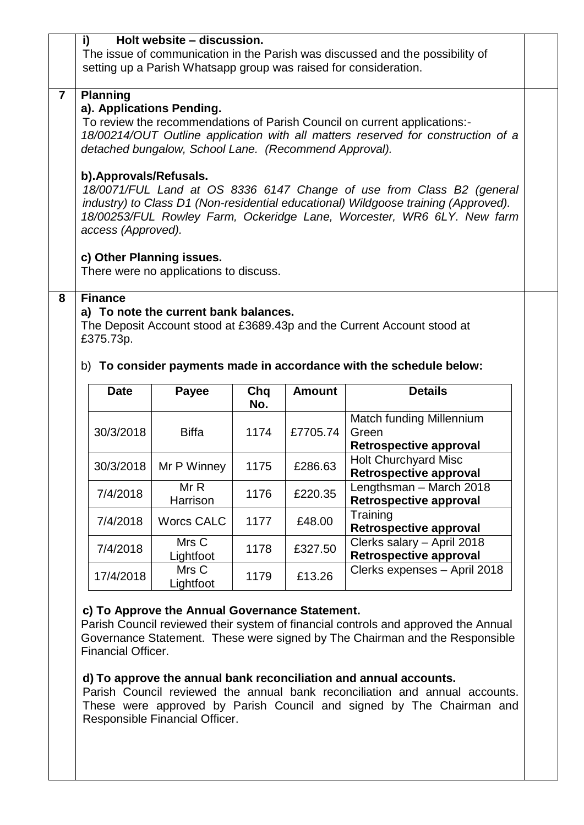|                                                                                                                                                   |                         | Holt website - discussion.             |            |               |                                                                                                                                                             |  |
|---------------------------------------------------------------------------------------------------------------------------------------------------|-------------------------|----------------------------------------|------------|---------------|-------------------------------------------------------------------------------------------------------------------------------------------------------------|--|
| The issue of communication in the Parish was discussed and the possibility of<br>setting up a Parish Whatsapp group was raised for consideration. |                         |                                        |            |               |                                                                                                                                                             |  |
|                                                                                                                                                   |                         |                                        |            |               |                                                                                                                                                             |  |
| $\overline{7}$                                                                                                                                    | <b>Planning</b>         | a). Applications Pending.              |            |               |                                                                                                                                                             |  |
|                                                                                                                                                   |                         |                                        |            |               | To review the recommendations of Parish Council on current applications:-                                                                                   |  |
| 18/00214/OUT Outline application with all matters reserved for construction of a<br>detached bungalow, School Lane. (Recommend Approval).         |                         |                                        |            |               |                                                                                                                                                             |  |
|                                                                                                                                                   |                         |                                        |            |               |                                                                                                                                                             |  |
|                                                                                                                                                   | b). Approvals/Refusals. |                                        |            |               |                                                                                                                                                             |  |
|                                                                                                                                                   |                         |                                        |            |               | 18/0071/FUL Land at OS 8336 6147 Change of use from Class B2 (general<br>industry) to Class D1 (Non-residential educational) Wildgoose training (Approved). |  |
|                                                                                                                                                   |                         |                                        |            |               | 18/00253/FUL Rowley Farm, Ockeridge Lane, Worcester, WR6 6LY. New farm                                                                                      |  |
|                                                                                                                                                   | access (Approved).      |                                        |            |               |                                                                                                                                                             |  |
|                                                                                                                                                   |                         | c) Other Planning issues.              |            |               |                                                                                                                                                             |  |
|                                                                                                                                                   |                         | There were no applications to discuss. |            |               |                                                                                                                                                             |  |
|                                                                                                                                                   |                         |                                        |            |               |                                                                                                                                                             |  |
|                                                                                                                                                   |                         |                                        |            |               |                                                                                                                                                             |  |
|                                                                                                                                                   | <b>Finance</b>          |                                        |            |               |                                                                                                                                                             |  |
|                                                                                                                                                   |                         | a) To note the current bank balances.  |            |               |                                                                                                                                                             |  |
|                                                                                                                                                   | £375.73p.               |                                        |            |               | The Deposit Account stood at £3689.43p and the Current Account stood at                                                                                     |  |
|                                                                                                                                                   |                         |                                        |            |               |                                                                                                                                                             |  |
| 8                                                                                                                                                 |                         |                                        |            |               | b) To consider payments made in accordance with the schedule below:                                                                                         |  |
|                                                                                                                                                   | <b>Date</b>             | Payee                                  | Chq<br>No. | <b>Amount</b> | <b>Details</b>                                                                                                                                              |  |
|                                                                                                                                                   |                         |                                        |            |               | Match funding Millennium                                                                                                                                    |  |
|                                                                                                                                                   | 30/3/2018               | <b>Biffa</b>                           | 1174       | £7705.74      | Green                                                                                                                                                       |  |
|                                                                                                                                                   |                         |                                        |            |               | <b>Retrospective approval</b>                                                                                                                               |  |
|                                                                                                                                                   |                         | 30/3/2018   Mr P Winney                | 1175       | £286.63       | <b>Holt Churchyard Misc</b>                                                                                                                                 |  |
|                                                                                                                                                   |                         | MrR                                    |            |               | <b>Retrospective approval</b><br>Lengthsman - March 2018                                                                                                    |  |
|                                                                                                                                                   | 7/4/2018                | Harrison                               | 1176       | £220.35       | <b>Retrospective approval</b>                                                                                                                               |  |
|                                                                                                                                                   | 7/4/2018                | <b>Worcs CALC</b>                      | 1177       | £48.00        | Training                                                                                                                                                    |  |
|                                                                                                                                                   | 7/4/2018                | Mrs C                                  | 1178       | £327.50       | <b>Retrospective approval</b><br>Clerks salary - April 2018                                                                                                 |  |

## **c) To Approve the Annual Governance Statement.**

 $17/4/2018$  Mrs C<br>Lightfoot

Parish Council reviewed their system of financial controls and approved the Annual Governance Statement. These were signed by The Chairman and the Responsible Financial Officer.

1179  $\Big|$  £13.26 Clerks expenses – April 2018

### **d) To approve the annual bank reconciliation and annual accounts.**

Parish Council reviewed the annual bank reconciliation and annual accounts. These were approved by Parish Council and signed by The Chairman and Responsible Financial Officer.